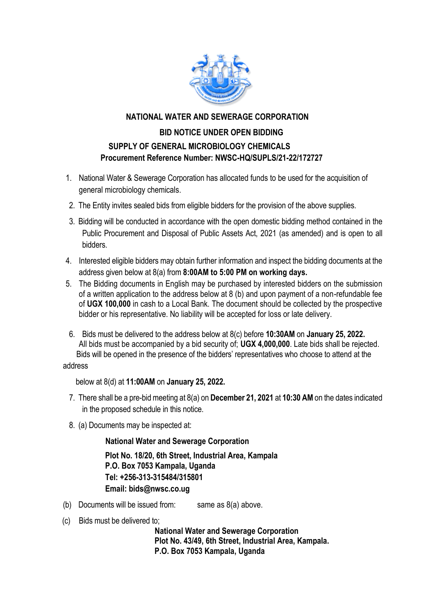

### **NATIONAL WATER AND SEWERAGE CORPORATION**

# **BID NOTICE UNDER OPEN BIDDING SUPPLY OF GENERAL MICROBIOLOGY CHEMICALS Procurement Reference Number: NWSC-HQ/SUPLS/21-22/172727**

- 1. National Water & Sewerage Corporation has allocated funds to be used for the acquisition of general microbiology chemicals.
- 2. The Entity invites sealed bids from eligible bidders for the provision of the above supplies.
- 3. Bidding will be conducted in accordance with the open domestic bidding method contained in the Public Procurement and Disposal of Public Assets Act, 2021 (as amended) and is open to all bidders.
- 4. Interested eligible bidders may obtain further information and inspect the bidding documents at the address given below at 8(a) from **8:00AM to 5:00 PM on working days.**
- 5. The Bidding documents in English may be purchased by interested bidders on the submission of a written application to the address below at 8 (b) and upon payment of a non-refundable fee of **UGX 100,000** in cash to a Local Bank. The document should be collected by the prospective bidder or his representative. No liability will be accepted for loss or late delivery.
- 6. Bids must be delivered to the address below at 8(c) before **10:30AM** on **January 25, 2022.** All bids must be accompanied by a bid security of; **UGX 4,000,000**. Late bids shall be rejected. Bids will be opened in the presence of the bidders' representatives who choose to attend at the

#### address

below at 8(d) at **11:00AM** on **January 25, 2022.**

- 7. There shall be a pre-bid meeting at 8(a) on **December 21, 2021** at **10:30 AM** on the dates indicated in the proposed schedule in this notice.
- 8. (a) Documents may be inspected at:

**National Water and Sewerage Corporation**

**Plot No. 18/20, 6th Street, Industrial Area, Kampala P.O. Box 7053 Kampala, Uganda Tel: +256-313-315484/315801 Email: bids@nwsc.co.ug** 

- (b) Documents will be issued from: same as  $8(a)$  above.
- (c) Bids must be delivered to;

 **National Water and Sewerage Corporation Plot No. 43/49, 6th Street, Industrial Area, Kampala. P.O. Box 7053 Kampala, Uganda**